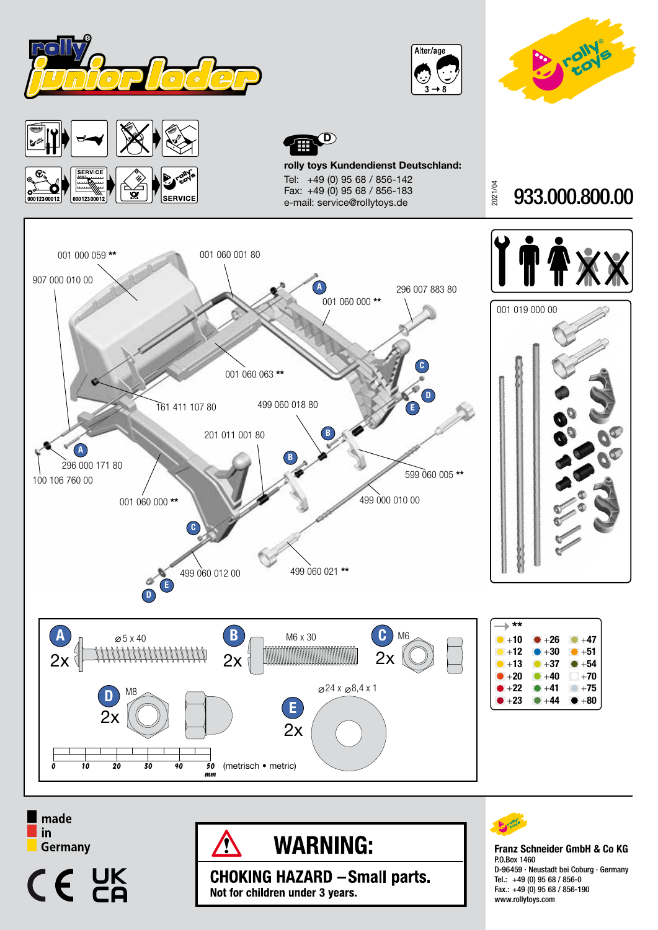









rolly toys Kundendienst Deutschland: Tel: +49 (0) 95 68 / 856-142 Fax: +49 (0) 95 68 / 856-183 e-mail: service@rollytoys.de